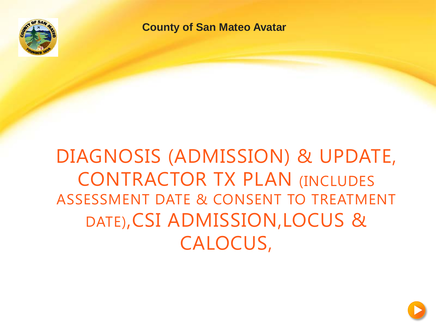

**County of San Mateo Avatar**

#### DIAGNOSIS (ADMISSION) & UPDATE, CONTRACTOR TX PLAN (INCLUDES ASSESSMENT DATE & CONSENT TO TREATMENT DATE),CSI ADMISSION,LOCUS & CALOCUS,

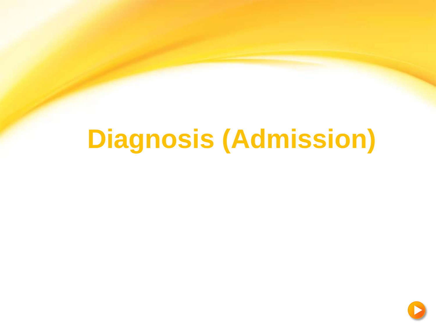# **Diagnosis (Admission)**

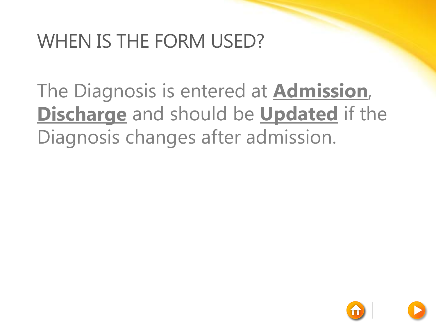#### WHEN IS THE FORM USED?

The Diagnosis is entered at **Admission**, **Discharge** and should be **Updated** if the Diagnosis changes after admission.

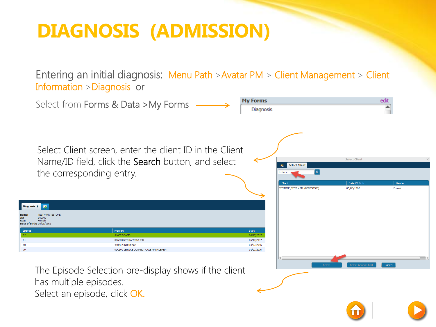#### **DIAGNOSIS (ADMISSION)**

Entering an initial diagnosis: Menu Path >Avatar PM > Client Management > Client Information >Diagnosis or

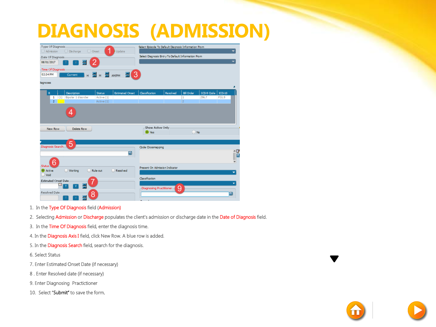#### **DIAGNOSIS (ADMISSION)**

| Type Of Diagnosis<br>O Onset<br>Undate<br>Admission<br>◯ Discharge<br>Date Of Diagnosis<br>08/01/2017<br>Time Of Diagnosis<br>02:34 PM           | Select Episode To Default Diagnosis Information From<br>Select Diagnosis Entry To Default Information From                |
|--------------------------------------------------------------------------------------------------------------------------------------------------|---------------------------------------------------------------------------------------------------------------------------|
| З<br>E M<br>$\frac{1}{\sqrt{2}}$ AM/PM<br>н<br>Current<br>H<br>Xagnoses                                                                          |                                                                                                                           |
| <b>Estimated Onset</b><br>Description<br><b>Status</b><br>${\sf R}$<br>(1) Bipolar 1 disorder<br>Active (1)<br>1<br>$\overline{2}$<br>Active (1) | ICD-9 Code<br>$ICD-10$<br>Resolved<br><b>Bill</b> Order<br><b>Classification</b><br>296.7<br>F31.9<br>1<br>$\overline{2}$ |
| Delete Row<br>New Row                                                                                                                            | -Show Active Only<br>ON <sub>o</sub><br>(a) Yes                                                                           |
| 5<br>Diagnosis Search<br>Q                                                                                                                       | Code Crossmapping<br>$\frac{1}{2}$                                                                                        |
| <b>Status</b><br>◯ Working<br>Rule-out<br>Resolved<br>Active<br>Void<br>Estimated Onset Date                                                     | Present On Admission Indicator<br><b>Classification</b>                                                                   |
| Resolved Date<br>8<br>÷                                                                                                                          | ۰<br>9<br>Diagnosing Practitioner-                                                                                        |

- 1. In the Type Of Diagnosis field (Admission)
- 2. Selecting Admission or Discharge populates the client's admission or discharge date in the Date of Diagnosis field.
- 3. In the Time Of Diagnosis field, enter the diagnosis time.
- 4. In the Diagnosis Axis I field, click New Row. A blue row is added.
- 5. In the Diagnosis Search field, search for the diagnosis.
- 6. Select Status
- 7. Enter Estimated Onset Date (if necessary)
- 8 . Enter Resolved date (if necessary)
- 9. Enter Diagnosing Practictioner
- 10. Select "Submit" to save the form.

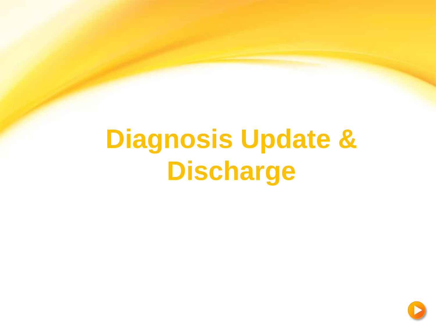# **Diagnosis Update & Discharge**

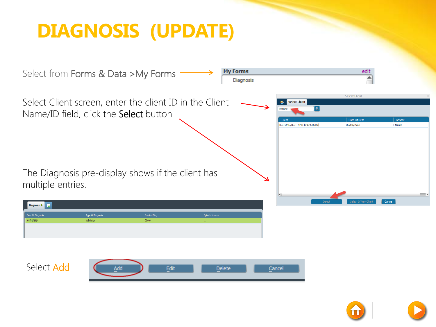### **DIAGNOSIS (UPDATE)**



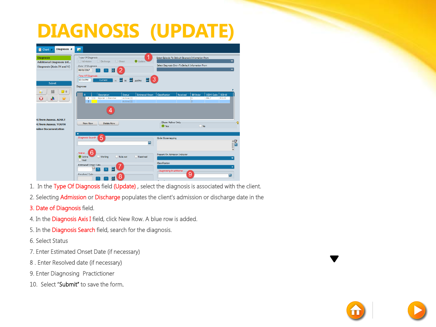#### **DIAGNOSIS (UPDATE)**

| Diagnosis &<br>Chart <sub>e</sub>                                                          | 國                                                                                                                                                                                                                                                                                                                                                          |  |  |  |
|--------------------------------------------------------------------------------------------|------------------------------------------------------------------------------------------------------------------------------------------------------------------------------------------------------------------------------------------------------------------------------------------------------------------------------------------------------------|--|--|--|
| <b>Diagnosis</b><br><b>Additional Diagnosis Inf</b><br>Diagnosis (Axis IV and V)<br>Submit | -Type Of Diagnosis<br>Select Episode To Default Diagnosis Information From<br>() Admission () Discharge<br>O Onset<br>Update <sup>1</sup><br>Select Diagnosis Entry To Default Information From<br>Date Of Diagnosis<br>08/01/2017<br>틆<br>-Time Of Diagnosis-<br>3<br>H I<br>02:34 PM<br><b>Current</b><br>M<br>$\mathbf{H}$<br>AM/PM<br><b>Diagnoses</b> |  |  |  |
| 70<br>E3                                                                                   | <b>Estimated Onset</b><br>Resolved<br><b>Bill Order</b><br>ICD-9 Code<br><b>Description</b><br>Status<br>Classification<br>$ICD-10$<br>$\mathsf{R}$<br>1 (1) Bipolar 1 disorder<br>Active (1)<br>296.7<br>F31.9<br>٠<br>$\overline{2}$<br>Active (1)<br>$\overline{z}$                                                                                     |  |  |  |
| <b>X from Assess, ADULT</b><br><b>X from Assess, YOUTH</b><br><b>Inline Documentation</b>  | Show Active Only<br>ବ<br>New Row<br>Delete Row<br>$\n  No\n$<br><sup>O</sup> Yes                                                                                                                                                                                                                                                                           |  |  |  |
|                                                                                            | $\overline{\mathbf v}$<br>5<br>Diagnosis Search<br>Code Crossmapping<br>$\tilde{a}$<br>回                                                                                                                                                                                                                                                                   |  |  |  |
|                                                                                            | h<br>Status<br>Present On Admission Indicator<br>Resolved<br>Working<br>C Rule-out<br>Active<br>O Void<br>Classification<br>-Estimated Onset Date<br><b>Co</b><br>Diagnosing Practitioner<br>9<br>-Resolved Date<br>ø<br>8<br>톡<br><b>Demandia</b>                                                                                                         |  |  |  |

- 1. In the Type Of Diagnosis field (Update) , select the diagnosis is associated with the client.
- 2. Selecting Admission or Discharge populates the client's admission or discharge date in the
- 3. Date of Diagnosis field.
- 4. In the Diagnosis Axis I field, click New Row. A blue row is added.
- 5. In the Diagnosis Search field, search for the diagnosis.
- 6. Select Status
- 7. Enter Estimated Onset Date (if necessary)
- 8 . Enter Resolved date (if necessary)
- 9. Enter Diagnosing Practictioner
- 10. Select "Submit" to save the form.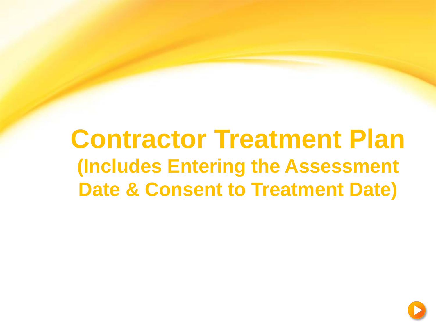### **Contractor Treatment Plan (Includes Entering the Assessment Date & Consent to Treatment Date)**

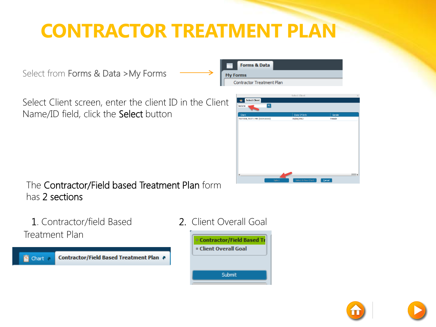### **CONTRACTOR TREATMENT PLAN**

Select from Forms & Data >My Forms

Select Client screen, enter the client ID in the Client Name/ID field, click the Select button





The Contractor/Field based Treatment Plan form has 2 sections

1. Contractor/field Based Treatment Plan

Contractor/Field Based Treatment Plan **酉** Chart a

#### 2. Client Overall Goal

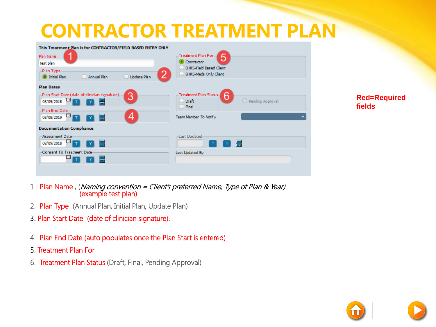#### **CONTRACTOR TREATMENT PLAN**

| This Treatment Plan is for CONTRACTOR/FIELD BASED ENTRY ONLY<br>Plan Name | Treatment Plan For-                                                             |
|---------------------------------------------------------------------------|---------------------------------------------------------------------------------|
| test plan                                                                 | Contractor                                                                      |
| -Plan Type-<br>Update Plan<br><b>O</b> Initial Plan<br>Annual Plan        | <b>BHRS-Field Based Clent</b><br>BHRS-Meds Only Client                          |
| <b>Plan Dates</b>                                                         |                                                                                 |
| -Plan Start Date (date of clinician signature)-<br>3<br>08/09/2018        | -Treatment Plan Status-<br>6<br>◯ Pending Approval<br>$D$ Draft<br>$\Box$ Final |
| Plan End Date-<br>4<br>08/08/2019                                         | Team Member To Notify                                                           |
| <b>Documentation Compliance</b>                                           |                                                                                 |
| Assessment Date-<br>08/09/2018                                            | -Last Updated<br>÷                                                              |
| -Consent To Treatment Date-                                               | Last Updated By                                                                 |
|                                                                           |                                                                                 |

**Red=Required fields**

- 1. Plan Name , (Naming convention = Client's preferred Name, Type of Plan & Year) (example test plan)
- 2. Plan Type (Annual Plan, Initial Plan, Update Plan)
- 3. Plan Start Date (date of clinician signature).
- 4. Plan End Date (auto populates once the Plan Start is entered)
- 5. Treatment Plan For
- 6. Treatment Plan Status (Draft, Final, Pending Approval)

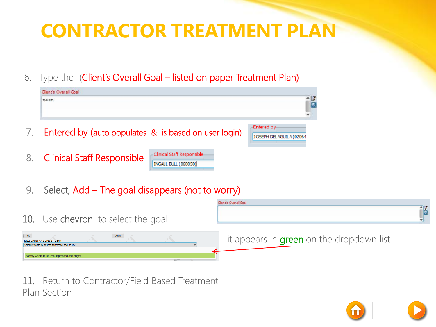### **CONTRACTOR TREATMENT PLAN**

6. Type the (Client's Overall Goal – listed on paper Treatment Plan)

| Clent's Overall Goal                                 |                                                             |                                          |
|------------------------------------------------------|-------------------------------------------------------------|------------------------------------------|
| test                                                 |                                                             | $\frac{1}{2}$                            |
| Entered by (auto populates & is based on user login) |                                                             | Entered by:<br>JOSEPH DEL AGUIL A (02064 |
| 8. Clinical Staff Responsible                        | -Clinical Staff Responsible-<br><b>INGALL BULL (060050)</b> |                                          |

9. Select, Add – The goal disappears (not to worry)



11. Return to Contractor/Field Based Treatment Plan Section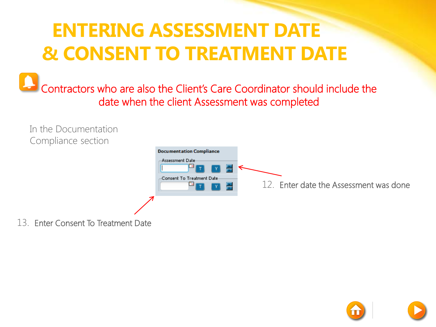#### **ENTERING ASSESSMENT DATE & CONSENT TO TREATMENT DATE**

Contractors who are also the Client's Care Coordinator should include the date when the client Assessment was completed



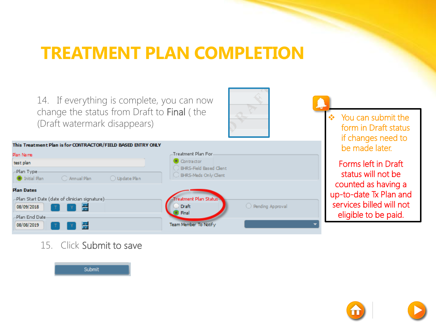#### **TREATMENT PLAN COMPLETION**

14. If everything is complete, you can now change the status from Draft to Final ( the (Draft watermark disappears)



| This Treatment Plan is for CONTRACTOR/FIELD BASED ENTRY ONLY                       |                                                                       |
|------------------------------------------------------------------------------------|-----------------------------------------------------------------------|
| Plan Name                                                                          | Treatment Plan For-                                                   |
| test plan                                                                          | Contractor                                                            |
| -Plan Type-<br>◯ Update Plan<br>C Annual Plan<br><b>O</b> Initial Plan             | BHRS-Field Based Client<br>BHRS-Meds Only Client                      |
| <b>Plan Dates</b><br>-Plan Start Date (date of clinician signature):<br>08/09/2018 | Treatment Plan Status-<br>◯ Pending Approval<br><b>Draft</b><br>Final |
| -Plan End Date<br>08/08/2019                                                       | Team Member To Notify                                                 |

 You can submit the form in Draft status if changes need to be made later.

Forms left in Draft status will not be counted as having a up-to-date Tx Plan and services billed will not eligible to be paid.

15. Click Submit to save



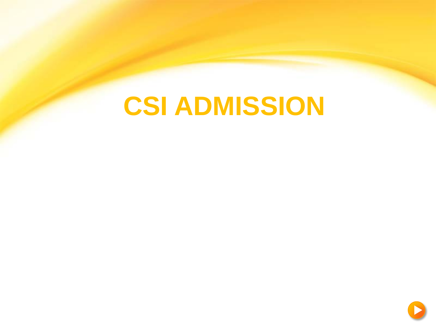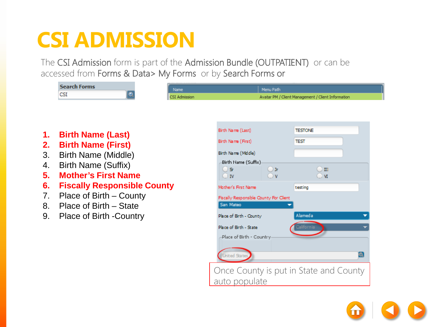The CSI Admission form is part of the Admission Bundle (OUTPATIENT) or can be accessed from Forms & Data> My Forms or by Search Forms or

| <b>Search Forms</b><br>Name<br><b>CSI</b>                                                                                                                                                                                                                                                                                                    | Menu Path                                                                                                                                                                                                                                                                                                                                                                            |
|----------------------------------------------------------------------------------------------------------------------------------------------------------------------------------------------------------------------------------------------------------------------------------------------------------------------------------------------|--------------------------------------------------------------------------------------------------------------------------------------------------------------------------------------------------------------------------------------------------------------------------------------------------------------------------------------------------------------------------------------|
| <b>CSI Admission</b><br>1.<br><b>Birth Name (Last)</b><br><b>Birth Name (First)</b><br>2.<br>3.<br>Birth Name (Middle)<br>Birth Name (Suffix)<br>4.<br><b>Mother's First Name</b><br>5.<br>6.<br><b>Fiscally Responsible County</b><br>7.<br>Place of Birth – County<br>8.<br>Place of Birth – State<br>9.<br><b>Place of Birth -Country</b> | Avatar PM / Client Management / Client Information<br>Birth Name (Last)<br><b>TESTONE</b><br>Birth Name (First)<br><b>TEST</b><br>Birth Name (Middle)<br>Birth Name (Suffix)<br>O Sr<br>$()$ Jr<br>$\mathbf{II}$<br>$\Box$ M<br>$\neg$ v<br>$\Box$ IV<br>Mother's First Name<br>testing<br>Fiscally Responsible County For Client<br>San Mateo<br>Alameda<br>Place of Birth - County |
|                                                                                                                                                                                                                                                                                                                                              | Place of Birth - State<br>California<br>-Place of Birth - Country<br>$\bullet$<br><b>United States</b><br>Once County is put in State and County<br>auto populate                                                                                                                                                                                                                    |

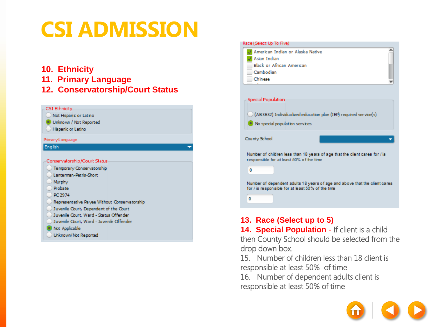#### **10. Ethnicity**

- **11. Primary Language**
- **12. Conservatorship/Court Status**





#### **13. Race (Select up to 5)**

**14. Special Population - If client is a child** then County School should be selected from the drop down box.

15. Number of children less than 18 client is responsible at least 50% of time

16. Number of dependent adults client is responsible at least 50% of time

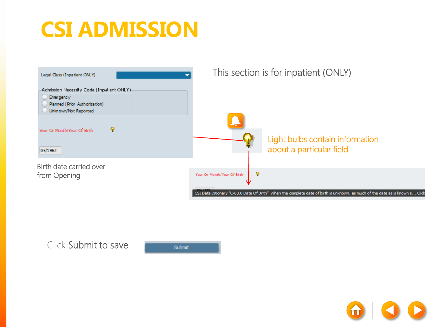

Click Submit to save

Submit

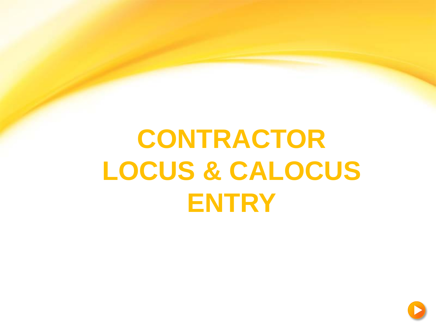# **CONTRACTOR LOCUS & CALOCUS ENTRY**

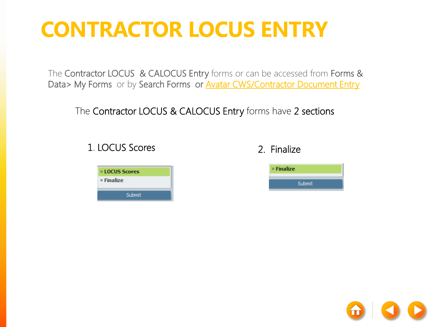The Contractor LOCUS & CALOCUS Entry forms or can be accessed from Forms & Data> My Forms or by Search Forms or **Avatar CWS/Contractor Document Entry** 

The Contractor LOCUS & CALOCUS Entry forms have 2 sections

#### 1. LOCUS Scores 2. Finalize





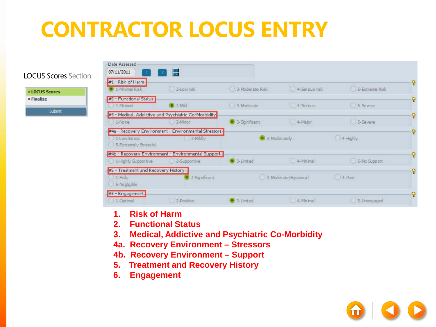#### LOCUS Scores Section

**¤ LOCUS Scores** <sup>o</sup> Finalize Submit

| Date Assessed<br>07/11/2011                                      | H                                                                      |                 |                      |                   |   |
|------------------------------------------------------------------|------------------------------------------------------------------------|-----------------|----------------------|-------------------|---|
| #1 - Risk of Harm<br>$\bullet$ 1-Minimal Risk                    | 2-Low risk                                                             | 3-Moderate Risk | 4-Serious risk       | 5-Extreme Risk    | P |
| #2 - Functional Status<br>1 1-Minimal                            | $P$ 2-Mid                                                              | ( 3-Moderate    | 4-Serious            | 5-Severe          | Ω |
| $1 - None$                                                       | #3 - Medical, Addictive and Psychiatric Co-Morbidity<br>$2-Minor$      | 3- Sq nificant  | 4-Major              | <b>U</b> 5-Severe | Ŷ |
| 1-Low Stress<br>5-Extremely Stressful                            | #4a - Recovery Environment - Environmental Stressors-<br>2-Midly       | · 3-Moderately  |                      | 4-Highly          | Q |
| 1-Highly Supportive                                              | #45 - Recovery Environment - Environmental Support<br>( ) 2-Supportive | 3-Limited       | (4-Minimal)          | 5-No Support      | Q |
| #5 - Treatment and Recovery History-<br>$1-Fubv$<br>5-Negligible | 2-Sq nificant                                                          |                 | 3-Moderate/Equivocal | 04-Poor           | P |
| #6 - Engagement<br>1-Optimal                                     | 2-Positive                                                             | 3-Limited       | 4-Minimal            | 5-Uneng aged      |   |

- **1. Risk of Harm**
- **2. Functional Status**
- **3. Medical, Addictive and Psychiatric Co-Morbidity**
- **4a. Recovery Environment – Stressors**
- **4b. Recovery Environment – Support**
- **5. Treatment and Recovery History**
- **6. Engagement**

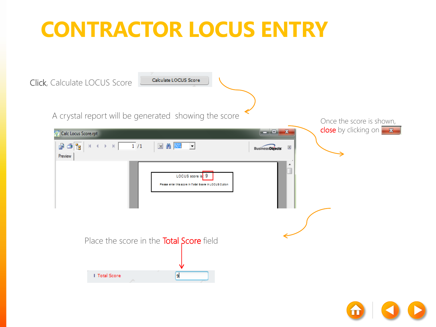

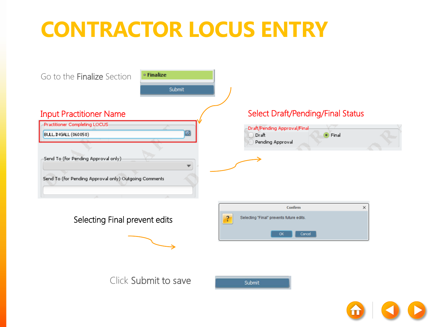

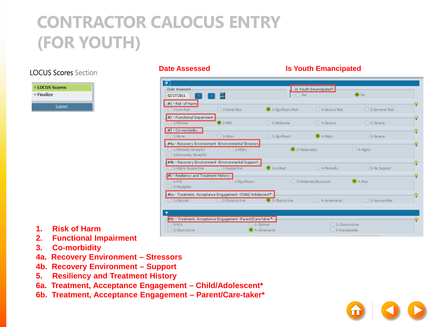#### **CONTRACTOR CALOCUS ENTRY (FOR YOUTH)**

#### LOCUS Scores Section

| <b>¤ LOCUS Scores</b> |
|-----------------------|
| □ Finalize            |
| Submit                |

#### **Date Assessed Is Youth Emancipated**

| ▼<br>-Date Assessed<br>02/17/2011                                      | ے                                                                               | $\bigcap$ Yes     | -Is Youth Emancipated?-            | $\bullet$ No        |   |
|------------------------------------------------------------------------|---------------------------------------------------------------------------------|-------------------|------------------------------------|---------------------|---|
| $#1$ - Risk of Harm<br>1-Low Risk                                      | 2-Some Risk                                                                     | 3-Sqnificant Risk | ◯ 4-Serious Risk                   | ○ 5-Extreme Risk    | Q |
| #2 - Functional Impairment-<br>$( ) 1$ -Minimal                        | $\blacksquare$ 2-Mild                                                           | ○ 3-Moderate      | C 4-Serious                        | ○ 5-Severe          | Q |
| #3 - Co-morbidity-<br>$1 -$ None                                       | $()$ 2-Minor                                                                    | ◯ 3-Sgnificant    | $\bullet$ 4-Major                  | $()$ 5-Severe       | Q |
| 1-Minimally Stressful<br>5-Extremely Stressful                         | #4a - Recovery Environment -Environmental Stressors<br>$()$ 2-Mildly            | 3-Moderately      |                                    | $\bigcirc$ 4-Highly | Q |
| ( ) 1-Highly Supportive                                                | #4b - Recovery Environment -Environmental Support-<br>( ) 2-Supportive          | 3-Limited         | $\bigcirc$ 4-Mnimally              | ◯ 5-No Support      | Q |
| #5 - Resiliency and Treatment History-<br>$() 1-Ful$<br>◯ 5-Negligible | 2-Significant                                                                   |                   | ○ 3-Moderate/Equivocal             | $\bullet$ 4-Poor    | Q |
| $() 1$ -Optimal                                                        | #6a - Treatment, Acceptance Engagement -Child/ Adolescent*<br>() 2-Constructive | 3-Obstructive     | C 4-Adversarial                    | ○ 5-Inaccessible    | ହ |
| $)$ 0-N/A<br>3-Obstructive                                             | #6b - Treatment, Acceptance Engagement -Parent/Care-taker*-<br>1-Optimal        | 4-Adversarial     | C 2-Constructive<br>5-Inaccessible |                     | Q |

- **1. Risk of Harm**
- **2. Functional Impairment**
- **3. Co-morbidity**
- **4a. Recovery Environment – Stressors**
- **4b. Recovery Environment – Support**
- **5. Resiliency and Treatment History**
- **6a. Treatment, Acceptance Engagement – Child/Adolescent\***
- **6b. Treatment, Acceptance Engagement – Parent/Care-taker\***

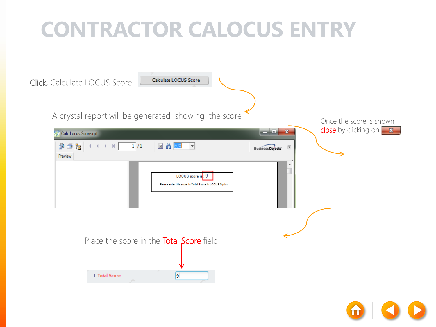

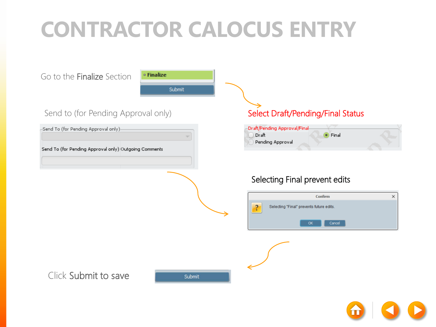Go to the Finalize Section



#### Send to (for Pending Approval only)

-Send To (for Pending Approval only)

Send To (for Pending Approval only) Outgoing Comments

#### Select Draft/Pending/Final Status



#### Selecting Final prevent edits





Click Submit to save

Submit